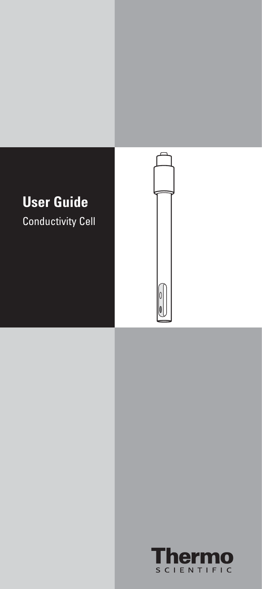# **User Guide** Conductivity Cell



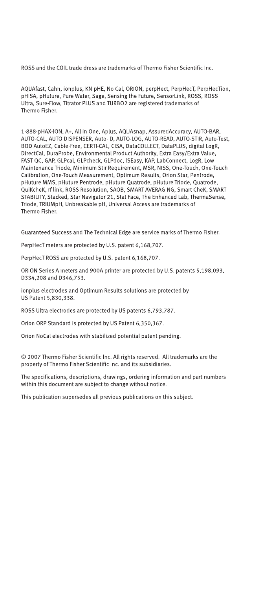ROSS and the COIL trade dress are trademarks of Thermo Fisher Scientific Inc.

AQUAfast, Cahn, ionplus, KNIpHE, No Cal, ORION, perpHect, PerpHecT, PerpHecTion, pHISA, pHuture, Pure Water, Sage, Sensing the Future, SensorLink, ROSS, ROSS Ultra, Sure-Flow, Titrator PLUS and TURBO2 are registered trademarks of Thermo Fisher.

1-888-pHAX-ION, A+, All in One, Aplus, AQUAsnap, AssuredAccuracy, AUTO-BAR, AUTO-CAL, AUTO DISPENSER, Auto-ID, AUTO-LOG, AUTO-READ, AUTO-STIR, Auto-Test, BOD AutoEZ, Cable-Free, CERTI-CAL, CISA, DataCOLLECT, DataPLUS, digital LogR, DirectCal, DuraProbe, Environmental Product Authority, Extra Easy/Extra Value, FAST QC, GAP, GLPcal, GLPcheck, GLPdoc, ISEasy, KAP, LabConnect, LogR, Low Maintenance Triode, Minimum Stir Requirement, MSR, NISS, One-Touch, One-Touch Calibration, One-Touch Measurement, Optimum Results, Orion Star, Pentrode, pHuture MMS, pHuture Pentrode, pHuture Quatrode, pHuture Triode, Quatrode, QuiKcheK, rf link, ROSS Resolution, SAOB, SMART AVERAGING, Smart CheK, SMART STABILITY, Stacked, Star Navigator 21, Stat Face, The Enhanced Lab, ThermaSense, Triode, TRIUMpH, Unbreakable pH, Universal Access are trademarks of Thermo Fisher

Guaranteed Success and The Technical Edge are service marks of Thermo Fisher.

PerpHecT meters are protected by U.S. patent 6,168,707.

PerpHecT ROSS are protected by U.S. patent 6,168,707.

ORION Series A meters and 900A printer are protected by U.S. patents 5,198,093, D334,208 and D346,753.

ionplus electrodes and Optimum Results solutions are protected by US Patent 5,830,338.

ROSS Ultra electrodes are protected by US patents 6,793,787.

Orion ORP Standard is protected by US Patent 6,350,367.

Orion NoCal electrodes with stabilized potential patent pending.

© 2007 Thermo Fisher Scientific Inc. All rights reserved. All trademarks are the property of Thermo Fisher Scientific Inc. and its subsidiaries.

The specifications, descriptions, drawings, ordering information and part numbers within this document are subject to change without notice.

This publication supersedes all previous publications on this subject.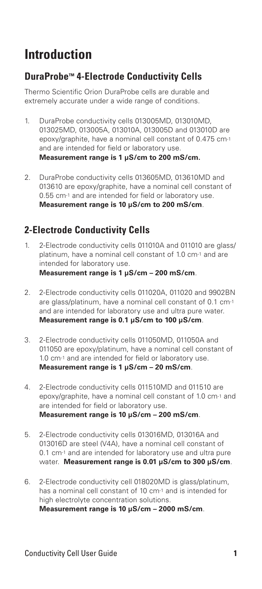## **Introduction**

#### **DuraProbe™ 4-Electrode Conductivity Cells**

Thermo Scientific Orion DuraProbe cells are durable and extremely accurate under a wide range of conditions.

- 1. DuraProbe conductivity cells 013005MD, 013010MD, 013025MD, 013005A, 013010A, 013005D and 013010D are epoxy/graphite, have a nominal cell constant of 0.475 cm-1 and are intended for field or laboratory use. **Measurement range is 1 μS/cm to 200 mS/cm.**
- 2. DuraProbe conductivity cells 013605MD, 013610MD and 013610 are epoxy/graphite, have a nominal cell constant of 0.55 cm-1 and are intended for field or laboratory use. **Measurement range is 10 μS/cm to 200 mS/cm**.

### **2-Electrode Conductivity Cells**

- 1. 2-Electrode conductivity cells 011010A and 011010 are glass/ platinum, have a nominal cell constant of 1.0 cm-1 and are intended for laboratory use. **Measurement range is 1 μS/cm – 200 mS/cm**.
- 2. 2-Electrode conductivity cells 011020A, 011020 and 9902BN are glass/platinum, have a nominal cell constant of 0.1 cm-1 and are intended for laboratory use and ultra pure water. **Measurement range is 0.1 μS/cm to 100 μS/cm**.
- 3. 2-Electrode conductivity cells 011050MD, 011050A and 011050 are epoxy/platinum, have a nominal cell constant of 1.0 cm-1 and are intended for field or laboratory use. **Measurement range is 1 μS/cm – 20 mS/cm**.
- 4. 2-Electrode conductivity cells 011510MD and 011510 are epoxy/graphite, have a nominal cell constant of 1.0 cm-1 and are intended for field or laboratory use. **Measurement range is 10 μS/cm – 200 mS/cm**.
- 5. 2-Electrode conductivity cells 013016MD, 013016A and 013016D are steel (V4A), have a nominal cell constant of 0.1 cm-1 and are intended for laboratory use and ultra pure
	- water. **Measurement range is 0.01 μS/cm to 300 μS/cm**.
- 6. 2-Electrode conductivity cell 018020MD is glass/platinum, has a nominal cell constant of 10 cm-1 and is intended for high electrolyte concentration solutions. **Measurement range is 10 μS/cm – 2000 mS/cm**.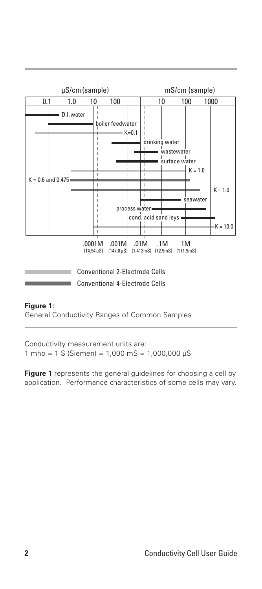

#### **Figure 1:** General Conductivity Ranges of Common Samples

Conductivity measurement units are: 1 mho = 1 S (Siemen) = 1,000 mS = 1,000,000  $\mu$ S

**Figure 1** represents the general guidelines for choosing a cell by application. Performance characteristics of some cells may vary.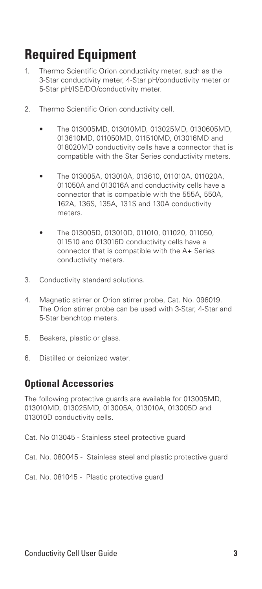# **Required Equipment**

- 1. Thermo Scientific Orion conductivity meter, such as the 3-Star conductivity meter, 4-Star pH/conductivity meter or 5-Star pH/ISE/DO/conductivity meter.
- 2. Thermo Scientific Orion conductivity cell.
	- The 013005MD, 013010MD, 013025MD, 0130605MD, 013610MD, 011050MD, 011510MD, 013016MD and 018020MD conductivity cells have a connector that is compatible with the Star Series conductivity meters.
	- The 013005A, 013010A, 013610, 011010A, 011020A, 011050A and 013016A and conductivity cells have a connector that is compatible with the 555A, 550A, 162A, 136S, 135A, 131S and 130A conductivity meters.
	- The 013005D, 013010D, 011010, 011020, 011050, 011510 and 013016D conductivity cells have a connector that is compatible with the A+ Series conductivity meters.
- 3. Conductivity standard solutions.
- 4. Magnetic stirrer or Orion stirrer probe, Cat. No. 096019. The Orion stirrer probe can be used with 3-Star, 4-Star and 5-Star benchtop meters.
- 5. Beakers, plastic or glass.
- 6. Distilled or deionized water.

#### **Optional Accessories**

The following protective guards are available for 013005MD, 013010MD, 013025MD, 013005A, 013010A, 013005D and 013010D conductivity cells.

Cat. No 013045 - Stainless steel protective guard

Cat. No. 080045 - Stainless steel and plastic protective guard

Cat. No. 081045 - Plastic protective guard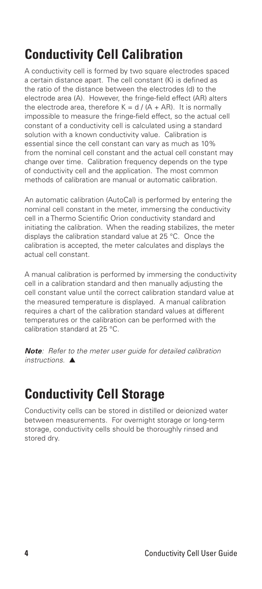# **Conductivity Cell Calibration**

A conductivity cell is formed by two square electrodes spaced a certain distance apart. The cell constant (K) is defined as the ratio of the distance between the electrodes (d) to the electrode area (A). However, the fringe-field effect (AR) alters the electrode area, therefore  $K = d / (A + AR)$ . It is normally impossible to measure the fringe-field effect, so the actual cell constant of a conductivity cell is calculated using a standard solution with a known conductivity value. Calibration is essential since the cell constant can vary as much as 10% from the nominal cell constant and the actual cell constant may change over time. Calibration frequency depends on the type of conductivity cell and the application. The most common methods of calibration are manual or automatic calibration.

An automatic calibration (AutoCal) is performed by entering the nominal cell constant in the meter, immersing the conductivity cell in a Thermo Scientific Orion conductivity standard and initiating the calibration. When the reading stabilizes, the meter displays the calibration standard value at 25 °C. Once the calibration is accepted, the meter calculates and displays the actual cell constant.

A manual calibration is performed by immersing the conductivity cell in a calibration standard and then manually adjusting the cell constant value until the correct calibration standard value at the measured temperature is displayed. A manual calibration requires a chart of the calibration standard values at different temperatures or the calibration can be performed with the calibration standard at 25 °C.

*Note: Refer to the meter user guide for detailed calibration instructions.*  $\triangle$ 

## **Conductivity Cell Storage**

Conductivity cells can be stored in distilled or deionized water between measurements. For overnight storage or long-term storage, conductivity cells should be thoroughly rinsed and stored dry.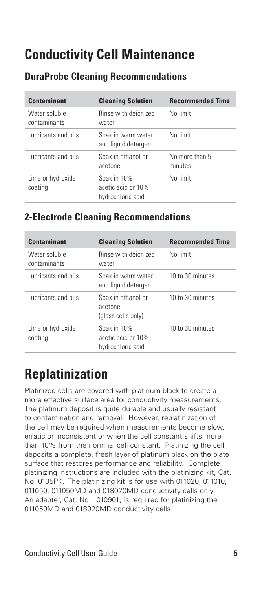# **Conductivity Cell Maintenance**

#### **DuraProbe Cleaning Recommendations**

| <b>Contaminant</b>            | <b>Cleaning Solution</b>                               | <b>Recommended Time</b>   |
|-------------------------------|--------------------------------------------------------|---------------------------|
| Water soluble<br>contaminants | Rinse with dejonized<br>water                          | No limit                  |
| Lubricants and oils           | Soak in warm water<br>and liquid detergent             | No limit                  |
| Lubricants and oils           | Soak in ethanol or<br>acetone                          | No more than 5<br>minutes |
| Lime or hydroxide<br>coating  | Soak in 10%<br>acetic acid or 10%<br>hydrochloric acid | No limit                  |

#### **2-Electrode Cleaning Recommendations**

| <b>Contaminant</b>            | <b>Cleaning Solution</b>                               | <b>Recommended Time</b> |
|-------------------------------|--------------------------------------------------------|-------------------------|
| Water soluble<br>contaminants | Rinse with dejonized<br>water                          | No limit                |
| Lubricants and oils           | Soak in warm water<br>and liquid detergent             | 10 to 30 minutes        |
| Lubricants and oils           | Soak in ethanol or<br>acetone<br>(glass cells only)    | 10 to 30 minutes        |
| Lime or hydroxide<br>coating  | Soak in 10%<br>acetic acid or 10%<br>hydrochloric acid | 10 to 30 minutes        |

### **Replatinization**

Platinized cells are covered with platinum black to create a more effective surface area for conductivity measurements. The platinum deposit is quite durable and usually resistant to contamination and removal. However, replatinization of the cell may be required when measurements become slow, erratic or inconsistent or when the cell constant shifts more than 10% from the nominal cell constant. Platinizing the cell deposits a complete, fresh layer of platinum black on the plate surface that restores performance and reliability. Complete platinizing instructions are included with the platinizing kit, Cat. No. 0105PK. The platinizing kit is for use with 011020, 011010, 011050, 011050MD and 018020MD conductivity cells only. An adapter, Cat. No. 1010901, is required for platinizing the 011050MD and 018020MD conductivity cells.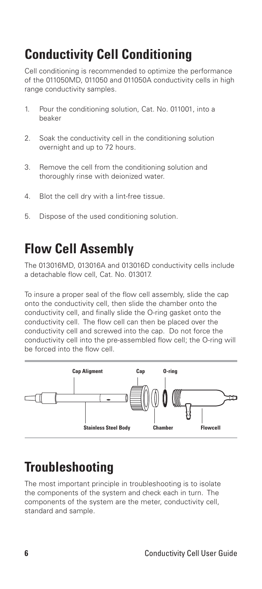# **Conductivity Cell Conditioning**

Cell conditioning is recommended to optimize the performance of the 011050MD, 011050 and 011050A conductivity cells in high range conductivity samples.

- 1. Pour the conditioning solution, Cat. No. 011001, into a beaker
- 2. Soak the conductivity cell in the conditioning solution overnight and up to 72 hours.
- 3. Remove the cell from the conditioning solution and thoroughly rinse with deionized water.
- 4. Blot the cell dry with a lint-free tissue.
- 5. Dispose of the used conditioning solution.

### **Flow Cell Assembly**

The 013016MD, 013016A and 013016D conductivity cells include a detachable flow cell, Cat. No. 013017.

To insure a proper seal of the flow cell assembly, slide the cap onto the conductivity cell, then slide the chamber onto the conductivity cell, and finally slide the O-ring gasket onto the conductivity cell. The flow cell can then be placed over the conductivity cell and screwed into the cap. Do not force the conductivity cell into the pre-assembled flow cell; the O-ring will be forced into the flow cell.



### **Troubleshooting**

The most important principle in troubleshooting is to isolate the components of the system and check each in turn. The components of the system are the meter, conductivity cell, standard and sample.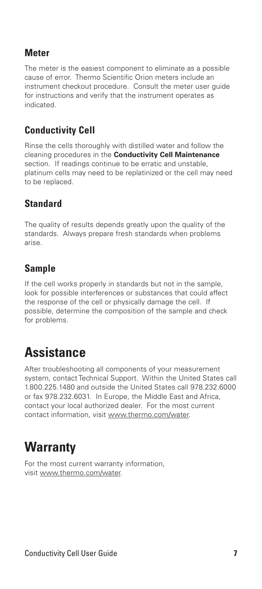#### **Meter**

The meter is the easiest component to eliminate as a possible cause of error. Thermo Scientific Orion meters include an instrument checkout procedure. Consult the meter user guide for instructions and verify that the instrument operates as indicated.

### **Conductivity Cell**

Rinse the cells thoroughly with distilled water and follow the cleaning procedures in the **Conductivity Cell Maintenance** section. If readings continue to be erratic and unstable, platinum cells may need to be replatinized or the cell may need to be replaced.

#### **Standard**

The quality of results depends greatly upon the quality of the standards. Always prepare fresh standards when problems arise.

### **Sample**

If the cell works properly in standards but not in the sample, look for possible interferences or substances that could affect the response of the cell or physically damage the cell. If possible, determine the composition of the sample and check for problems.

## **Assistance**

After troubleshooting all components of your measurement system, contact Technical Support. Within the United States call 1.800.225.1480 and outside the United States call 978.232.6000 or fax 978.232.6031. In Europe, the Middle East and Africa, contact your local authorized dealer. For the most current contact information, visit www.thermo.com/water.

## **Warranty**

For the most current warranty information, visit www.thermo.com/water.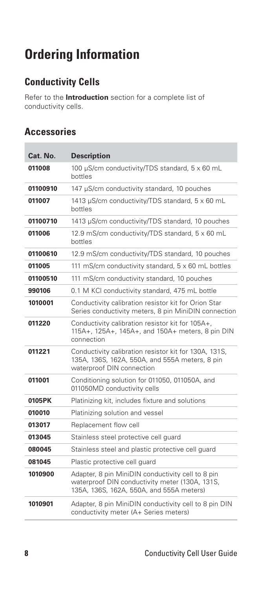# **Ordering Information**

### **Conductivity Cells**

Refer to the **Introduction** section for a complete list of conductivity cells.

#### **Accessories**

**Contract** 

| Cat. No. | <b>Description</b>                                                                                                                              |
|----------|-------------------------------------------------------------------------------------------------------------------------------------------------|
| 011008   | 100 µS/cm conductivity/TDS standard, 5 x 60 mL<br>bottles                                                                                       |
| 01100910 | 147 µS/cm conductivity standard, 10 pouches                                                                                                     |
| 011007   | 1413 µS/cm conductivity/TDS standard, 5 x 60 mL<br>bottles                                                                                      |
| 01100710 | 1413 µS/cm conductivity/TDS standard, 10 pouches                                                                                                |
| 011006   | 12.9 mS/cm conductivity/TDS standard, 5 x 60 mL<br>bottles                                                                                      |
| 01100610 | 12.9 mS/cm conductivity/TDS standard, 10 pouches                                                                                                |
| 011005   | 111 mS/cm conductivity standard, 5 x 60 mL bottles                                                                                              |
| 01100510 | 111 mS/cm conductivity standard, 10 pouches                                                                                                     |
| 990106   | 0.1 M KCI conductivity standard, 475 mL bottle                                                                                                  |
| 1010001  | Conductivity calibration resistor kit for Orion Star<br>Series conductivity meters, 8 pin MiniDIN connection                                    |
| 011220   | Conductivity calibration resistor kit for 105A+,<br>115A+, 125A+, 145A+, and 150A+ meters, 8 pin DIN<br>connection                              |
| 011221   | Conductivity calibration resistor kit for 130A, 131S,<br>135A, 136S, 162A, 550A, and 555A meters, 8 pin<br>waterproof DIN connection            |
| 011001   | Conditioning solution for 011050, 011050A, and<br>011050MD conductivity cells                                                                   |
| 0105PK   | Platinizing kit, includes fixture and solutions                                                                                                 |
| 010010   | Platinizing solution and vessel                                                                                                                 |
| 013017   | Replacement flow cell                                                                                                                           |
| 013045   | Stainless steel protective cell guard                                                                                                           |
| 080045   | Stainless steel and plastic protective cell guard                                                                                               |
| 081045   | Plastic protective cell guard                                                                                                                   |
| 1010900  | Adapter, 8 pin MiniDIN conductivity cell to 8 pin<br>waterproof DIN conductivity meter (130A, 131S,<br>135A, 136S, 162A, 550A, and 555A meters) |
| 1010901  | Adapter, 8 pin MiniDIN conductivity cell to 8 pin DIN<br>conductivity meter (A+ Series meters)                                                  |